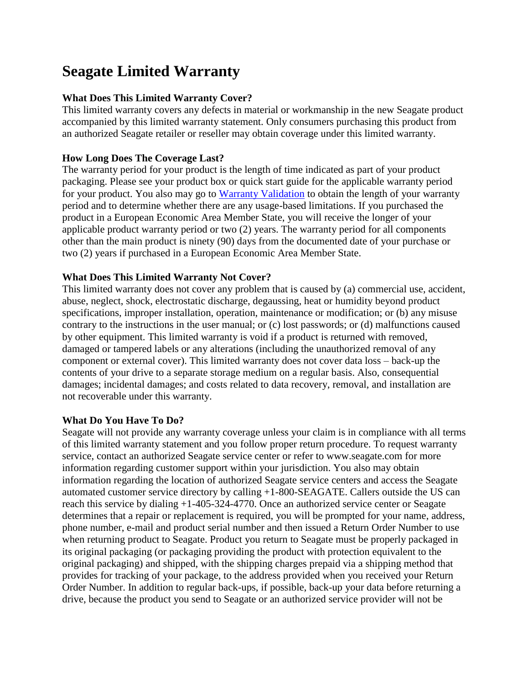# **Seagate Limited Warranty**

## **What Does This Limited Warranty Cover?**

This limited warranty covers any defects in material or workmanship in the new Seagate product accompanied by this limited warranty statement. Only consumers purchasing this product from an authorized Seagate retailer or reseller may obtain coverage under this limited warranty.

## **How Long Does The Coverage Last?**

The warranty period for your product is the length of time indicated as part of your product packaging. Please see your product box or quick start guide for the applicable warranty period for your product. You also may go to [Warranty Validation](http://support.seagate.com/customer/en-US/warranty_validation.jsp?form=0) to obtain the length of your warranty period and to determine whether there are any usage-based limitations. If you purchased the product in a European Economic Area Member State, you will receive the longer of your applicable product warranty period or two (2) years. The warranty period for all components other than the main product is ninety (90) days from the documented date of your purchase or two (2) years if purchased in a European Economic Area Member State.

## **What Does This Limited Warranty Not Cover?**

This limited warranty does not cover any problem that is caused by (a) commercial use, accident, abuse, neglect, shock, electrostatic discharge, degaussing, heat or humidity beyond product specifications, improper installation, operation, maintenance or modification; or (b) any misuse contrary to the instructions in the user manual; or (c) lost passwords; or (d) malfunctions caused by other equipment. This limited warranty is void if a product is returned with removed, damaged or tampered labels or any alterations (including the unauthorized removal of any component or external cover). This limited warranty does not cover data loss – back-up the contents of your drive to a separate storage medium on a regular basis. Also, consequential damages; incidental damages; and costs related to data recovery, removal, and installation are not recoverable under this warranty.

## **What Do You Have To Do?**

Seagate will not provide any warranty coverage unless your claim is in compliance with all terms of this limited warranty statement and you follow proper return procedure. To request warranty service, contact an authorized Seagate service center or refer to www.seagate.com for more information regarding customer support within your jurisdiction. You also may obtain information regarding the location of authorized Seagate service centers and access the Seagate automated customer service directory by calling +1-800-SEAGATE. Callers outside the US can reach this service by dialing +1-405-324-4770. Once an authorized service center or Seagate determines that a repair or replacement is required, you will be prompted for your name, address, phone number, e-mail and product serial number and then issued a Return Order Number to use when returning product to Seagate. Product you return to Seagate must be properly packaged in its original packaging (or packaging providing the product with protection equivalent to the original packaging) and shipped, with the shipping charges prepaid via a shipping method that provides for tracking of your package, to the address provided when you received your Return Order Number. In addition to regular back-ups, if possible, back-up your data before returning a drive, because the product you send to Seagate or an authorized service provider will not be